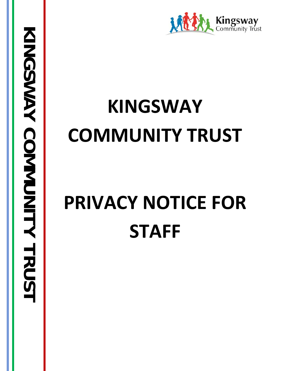

# **KINGSWAY COMMUNITY TRUST**

# **PRIVACY NOTICE FOR STAFF**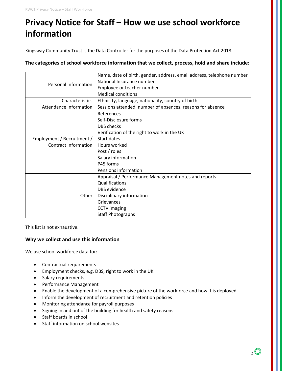## **Privacy Notice for Staff – How we use school workforce information**

Kingsway Community Trust is the Data Controller for the purposes of the Data Protection Act 2018.

**The categories of school workforce information that we collect, process, hold and share include:**

| Personal Information        | Name, date of birth, gender, address, email address, telephone number |
|-----------------------------|-----------------------------------------------------------------------|
|                             | National Insurance number                                             |
|                             | Employee or teacher number                                            |
|                             | <b>Medical conditions</b>                                             |
| Characteristics             | Ethnicity, language, nationality, country of birth                    |
| Attendance Information      | Sessions attended, number of absences, reasons for absence            |
|                             | References                                                            |
|                             | Self-Disclosure forms                                                 |
|                             | <b>DBS</b> checks                                                     |
|                             | Verification of the right to work in the UK                           |
| Employment / Recruitment /  | Start dates                                                           |
| <b>Contract Information</b> | Hours worked                                                          |
|                             | Post / roles                                                          |
|                             | Salary information                                                    |
|                             | P45 forms                                                             |
|                             | Pensions information                                                  |
| Other                       | Appraisal / Performance Management notes and reports                  |
|                             | Qualifications                                                        |
|                             | DBS evidence                                                          |
|                             | Disciplinary information                                              |
|                             | Grievances                                                            |
|                             | <b>CCTV</b> imaging                                                   |
|                             | <b>Staff Photographs</b>                                              |

This list is not exhaustive.

#### **Why we collect and use this information**

We use school workforce data for:

- Contractual requirements
- Employment checks, e.g. DBS, right to work in the UK
- Salary requirements
- Performance Management
- Enable the development of a comprehensive picture of the workforce and how it is deployed
- Inform the development of recruitment and retention policies
- Monitoring attendance for payroll purposes
- Signing in and out of the building for health and safety reasons
- Staff boards in school
- Staff information on school websites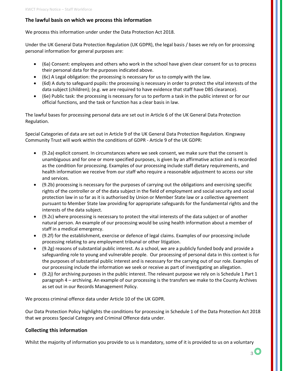#### **The lawful basis on which we process this information**

We process this information under under the Data Protection Act 2018.

Under the UK General Data Protection Regulation (UK GDPR), the legal basis / bases we rely on for processing personal information for general purposes are:

- (6a) Consent: employees and others who work in the school have given clear consent for us to process their personal data for the purposes indicated above.
- (6c) A Legal obligation: the processing is necessary for us to comply with the law.
- (6d) A duty to safeguard pupils: the processing is necessary in order to protect the vital interests of the data subject (children); (e.g. we are required to have evidence that staff have DBS clearance).
- (6e) Public task: the processing is necessary for us to perform a task in the public interest or for our official functions, and the task or function has a clear basis in law.

The lawful bases for processing personal data are set out in Article 6 of the UK General Data Protection Regulation.

Special Categories of data are set out in Article 9 of the UK General Data Protection Regulation. Kingsway Community Trust will work within the conditions of GDPR - Article 9 of the UK GDPR:

- (9.2a) explicit consent. In circumstances where we seek consent, we make sure that the consent is unambiguous and for one or more specified purposes, is given by an affirmative action and is recorded as the condition for processing. Examples of our processing include staff dietary requirements, and health information we receive from our staff who require a reasonable adjustment to access our site and services.
- (9.2b) processing is necessary for the purposes of carrying out the obligations and exercising specific rights of the controller or of the data subject in the field of employment and social security and social protection law in so far as it is authorised by Union or Member State law or a collective agreement pursuant to Member State law providing for appropriate safeguards for the fundamental rights and the interests of the data subject.
- (9.2c) where processing is necessary to protect the vital interests of the data subject or of another natural person. An example of our processing would be using health information about a member of staff in a medical emergency.
- (9.2f) for the establishment, exercise or defence of legal claims. Examples of our processing include processing relating to any employment tribunal or other litigation.
- (9.2g) reasons of substantial public interest. As a school, we are a publicly funded body and provide a safeguarding role to young and vulnerable people. Our processing of personal data in this context is for the purposes of substantial public interest and is necessary for the carrying out of our role. Examples of our processing include the information we seek or receive as part of investigating an allegation.
- (9.2j) for archiving purposes in the public interest. The relevant purpose we rely on is Schedule 1 Part 1 paragraph 4 – archiving. An example of our processing is the transfers we make to the County Archives as set out in our Records Management Policy.

We process criminal offence data under Article 10 of the UK GDPR.

Our Data Protection Policy highlights the conditions for processing in Schedule 1 of the Data Protection Act 2018 that we process Special Category and Criminal Offence data under.

#### **Collecting this information**

Whilst the majority of information you provide to us is mandatory, some of it is provided to us on a voluntary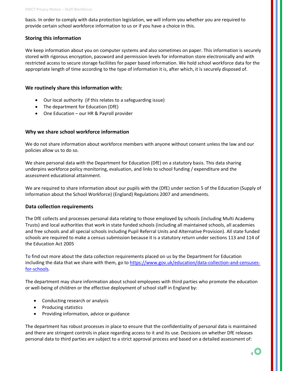basis. In order to comply with data protection legislation, we will inform you whether you are required to provide certain school workforce information to us or if you have a choice in this.

#### **Storing this information**

We keep information about you on computer systems and also sometimes on paper. This information is securely stored with rigorous encryption, password and permission levels for information store electronically and with restricted access to secure storage faciliites for paper based information. We hold school workforce data for the appropriate length of time according to the type of information it is, after which, it is securely disposed of.

#### **We routinely share this information with:**

- Our local authority (if this relates to a safeguarding issue)
- The department for Education (DfE)
- One Education our HR & Payroll provider

#### **Why we share school workforce information**

We do not share information about workforce members with anyone without consent unless the law and our policies allow us to do so.

We share personal data with the Department for Education (DfE) on a statutory basis. This data sharing underpins workforce policy monitoring, evaluation, and links to school funding / expenditure and the assessment educational attainment.

We are required to share information about our pupils with the (DfE) under section 5 of the Education (Supply of Information about the School Workforce) (England) Regulations 2007 and amendments.

#### **Data collection requirements**

The DfE collects and processes personal data relating to those employed by schools (including Multi Academy Trusts) and local authorities that work in state funded schools (including all maintained schools, all academies and free schools and all special schools including Pupil Referral Units and Alternative Provision). All state funded schools are required to make a census submission because it is a statutory return under sections 113 and 114 of the Education Act 2005

To find out more about the data collection requirements placed on us by the Department for Education including the data that we share with them, go to [https://www.gov.uk/education/data-collection-and-censuses](https://www.gov.uk/education/data-collection-and-censuses-for-schools)[for-schools.](https://www.gov.uk/education/data-collection-and-censuses-for-schools)

The department may share information about school employees with third parties who promote the education or well-being of children or the effective deployment of school staff in England by:

- Conducting research or analysis
- Producing statistics
- Providing information, advice or guidance

The department has robust processes in place to ensure that the confidentiality of personal data is maintained and there are stringent controls in place regarding access to it and its use. Decisions on whether DfE releases personal data to third parties are subject to a strict approval process and based on a detailed assessment of: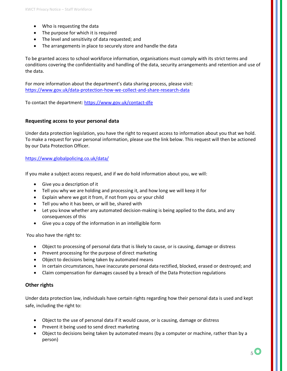- Who is requesting the data
- The purpose for which it is required
- The level and sensitivity of data requested; and
- The arrangements in place to securely store and handle the data

To be granted access to school workforce information, organisations must comply with its strict terms and conditions covering the confidentiality and handling of the data, security arrangements and retention and use of the data.

For more information about the department's data sharing process, please visit: <https://www.gov.uk/data-protection-how-we-collect-and-share-research-data>

To contact the department:<https://www.gov.uk/contact-dfe>

#### **Requesting access to your personal data**

Under data protection legislation, you have the right to request access to information about you that we hold. To make a request for your personal information, please use the link below. This request will then be actioned by our Data Protection Officer.

#### <https://www.globalpolicing.co.uk/data/>

If you make a subject access request, and if we do hold information about you, we will:

- Give you a description of it
- Tell you why we are holding and processing it, and how long we will keep it for
- Explain where we got it from, if not from you or your child
- Tell you who it has been, or will be, shared with
- Let you know whether any automated decision-making is being applied to the data, and any consequences of this
- Give you a copy of the information in an intelligible form

You also have the right to:

- Object to processing of personal data that is likely to cause, or is causing, damage or distress
- Prevent processing for the purpose of direct marketing
- Object to decisions being taken by automated means
- In certain circumstances, have inaccurate personal data rectified, blocked, erased or destroyed; and
- Claim compensation for damages caused by a breach of the Data Protection regulations

#### **Other rights**

Under data protection law, individuals have certain rights regarding how their personal data is used and kept safe, including the right to:

- Object to the use of personal data if it would cause, or is causing, damage or distress
- Prevent it being used to send direct marketing
- Object to decisions being taken by automated means (by a computer or machine, rather than by a person)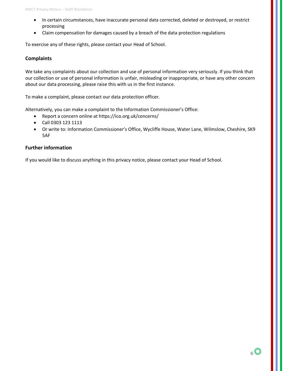- In certain circumstances, have inaccurate personal data corrected, deleted or destroyed, or restrict processing
- Claim compensation for damages caused by a breach of the data protection regulations

To exercise any of these rights, please contact your Head of School.

#### **Complaints**

We take any complaints about our collection and use of personal information very seriously. If you think that our collection or use of personal information is unfair, misleading or inappropriate, or have any other concern about our data processing, please raise this with us in the first instance.

To make a complaint, please contact our data protection officer.

Alternatively, you can make a complaint to the Information Commissioner's Office:

- Report a concern online at<https://ico.org.uk/concerns/>
- Call 0303 123 1113
- Or write to: Information Commissioner's Office, Wycliffe House, Water Lane, Wilmslow, Cheshire, SK9 5AF

#### **Further information**

If you would like to discuss anything in this privacy notice, please contact your Head of School.